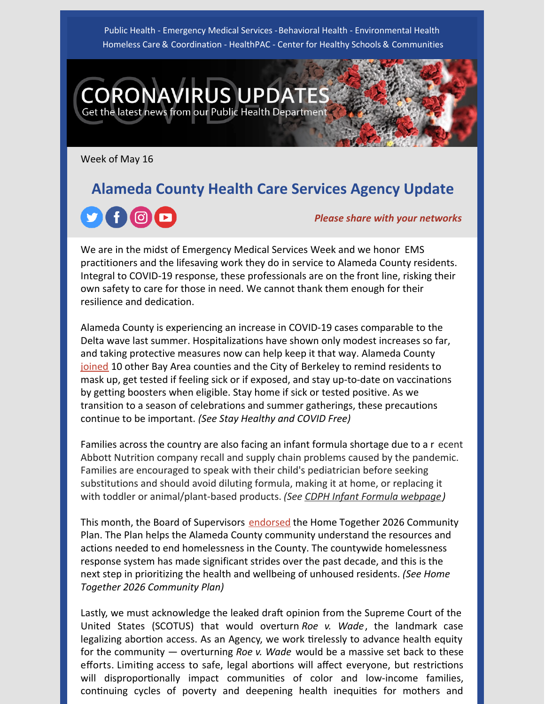Public Health - Emergency Medical Services - Behavioral Health - Environmental Health Homeless Care & Coordination - HealthPAC - Center for Healthy Schools & Communities

Week of May 16

**CORONAVIRUS UPDAT** 

Get the latest news from our Public Health Department

# **Alameda County Health Care Services Agency Update**  $f$   $\odot$   $\blacksquare$ *Please share with your networks*

We are in the midst of Emergency Medical Services Week and we honor EMS practitioners and the lifesaving work they do in service to Alameda County residents. Integral to COVID-19 response, these professionals are on the front line, risking their own safety to care for those in need. We cannot thank them enough for their resilience and dedication.

Alameda County is experiencing an increase in COVID-19 cases comparable to the Delta wave last summer. Hospitalizations have shown only modest increases so far, and taking protective measures now can help keep it that way. Alameda County [joined](https://covid-19.acgov.org/covid19-assets/docs/press/ABAHO Statement_05132022.pdf) 10 other Bay Area counties and the City of Berkeley to remind residents to mask up, get tested if feeling sick or if exposed, and stay up-to-date on vaccinations by getting boosters when eligible. Stay home if sick or tested positive. As we transition to a season of celebrations and summer gatherings, these precautions continue to be important. *(See Stay Healthy and COVID Free)*

Families across the country are also facing an infant formula shortage due to a r ecent Abbott Nutrition company recall and supply chain problems caused by the pandemic. Families are encouraged to speak with their child's pediatrician before seeking substitutions and should avoid diluting formula, making it at home, or replacing it with toddler or animal/plant-based products. *(See [CDPH Infant Formula webpage](https://www.cdph.ca.gov/Programs/CFH/Pages/Infant-Formula-Availability/Infant-Formula-Availability.aspx))*

This month, the Board of Supervisors [endorsed](https://homelessness.acgov.org/homelessness-assets/docs/news/Home Together 2026 Community Plan Press Release 2022.pdf) the Home Together 2026 Community Plan. The Plan helps the Alameda County community understand the resources and actions needed to end homelessness in the County. The countywide homelessness response system has made significant strides over the past decade, and this is the next step in prioritizing the health and wellbeing of unhoused residents. *(See Home Together 2026 Community Plan)*

Lastly, we must acknowledge the leaked draft opinion from the Supreme Court of the United States (SCOTUS) that would overturn *Roe v. Wade*, the landmark case legalizing abortion access. As an Agency, we work tirelessly to advance health equity for the community — overturning *Roe v. Wade* would be a massive set back to these efforts. Limiting access to safe, legal abortions will affect everyone, but restrictions will disproportionally impact communities of color and low-income families, continuing cycles of poverty and deepening health inequities for mothers and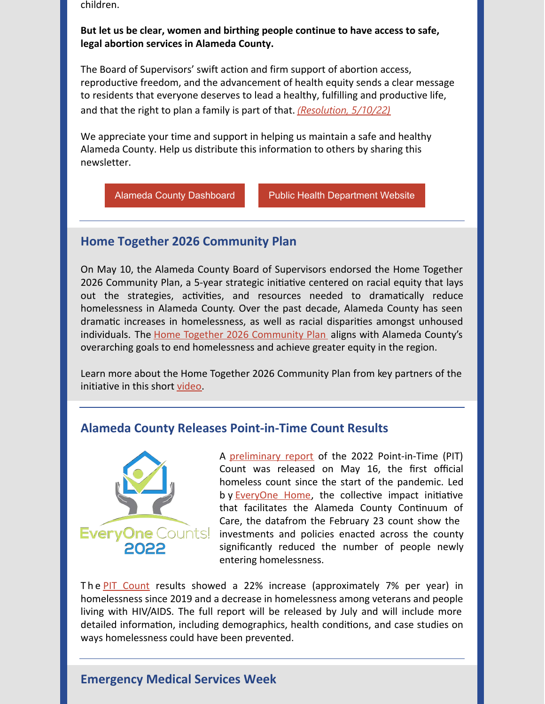children.

#### **But let us be clear, women and birthing people continue to have access to safe, legal abortion services in Alameda County.**

The Board of Supervisors' swift action and firm support of abortion access, reproductive freedom, and the advancement of health equity sends a clear message to residents that everyone deserves to lead a healthy, fulfilling and productive life, and that the right to plan a family is part of that. *[\(Resolution, 5/10/22](http://www.acgov.org/board/bos_calendar/documents/DocsAgendaReg_05_10_22/GENERAL ADMINISTRATION/Regular Calendar/Supervisor Brown_President Carson_330683.pdf))*

We appreciate your time and support in helping us maintain a safe and healthy Alameda County. Help us distribute this information to others by sharing this newsletter.

[Alameda County Dashboard](https://covid-19.acgov.org/data) [Public Health Department Website](http://www.acphd.org/)

### **Home Together 2026 Community Plan**

On May 10, the Alameda County Board of Supervisors endorsed the Home Together 2026 Community Plan, a 5-year strategic initiative centered on racial equity that lays out the strategies, activities, and resources needed to dramatically reduce homelessness in Alameda County. Over the past decade, Alameda County has seen dramatic increases in homelessness, as well as racial disparities amongst unhoused individuals. The **[Home Together 2026 Community Plan](https://homelessness.acgov.org/reports.page?)** aligns with Alameda County's overarching goals to end homelessness and achieve greater equity in the region.

Learn more about the Home Together 2026 Community Plan from key partners of the initiative in this short [video](https://www.youtube.com/watch?v=Ehv5wXTv7Z4&feature=youtu.be).

### **Alameda County Releases Point-in-Time Count Results**



A [preliminary report](https://everyonehome.org/main/continuum-of-care/everyone-counts/) of the 2022 Point-in-Time (PIT) Count was released on May 16, the first official homeless count since the start of the pandemic. Led by **EveryOne Home**, the collective impact initiative that facilitates the Alameda County Continuum of Care, the datafrom the February 23 count show the investments and policies enacted across the county significantly reduced the number of people newly entering homelessness.

ThePIT Count results showed a 22% increase (approximately 7% per year) in homelessness since 2019 and a decrease in homelessness among veterans and people living with HIV/AIDS. The full report will be released by July and will include more detailed information, including demographics, health conditions, and case studies on ways homelessness could have been prevented.

# **Emergency Medical Services Week**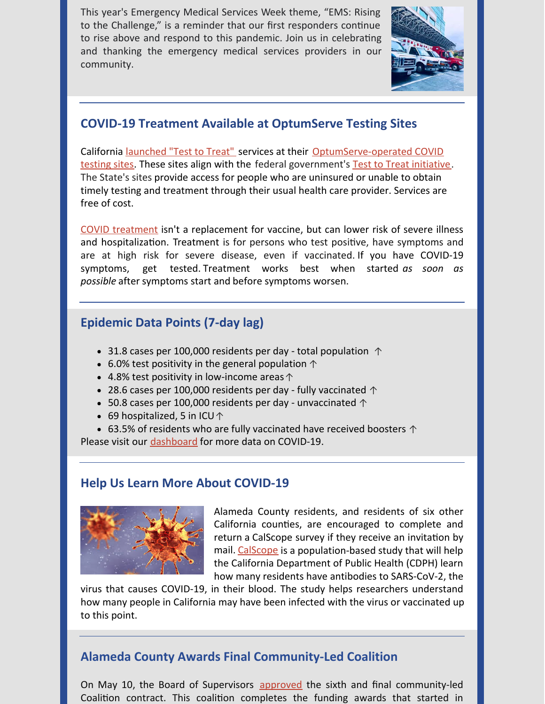This year's Emergency Medical Services Week theme, "EMS: Rising to the Challenge," is a reminder that our first responders continue to rise above and respond to this pandemic. Join us in celebrating and thanking the emergency medical services providers in our community.



# **COVID-19 Treatment Available at OptumServe Testing Sites**

[California launched "Test to Treat" services at their OptumServe-operated COVID](https://lhi.care/covidtesting/open-sessions) testing sites. These sites align with the federal government's [Test to Treat initiative](https://covid-19-test-to-treat-locator-dhhs.hub.arcgis.com/). The State's sites provide access for people who are uninsured or unable to obtain timely testing and treatment through their usual health care provider. Services are free of cost.

[COVID treatment](https://covid-19.acgov.org/treatment) isn't a replacement for vaccine, but can lower risk of severe illness and hospitalization. Treatment is for persons who test positive, have symptoms and are at high risk for severe disease, even if vaccinated. If you have COVID-19 symptoms, get tested. [Treatment](https://www.cdph.ca.gov/Programs/CID/DCDC/Pages/COVID-19/Treatments.aspx) works best when started *as soon as possible* after symptoms start and before symptoms worsen.

## **Epidemic Data Points (7-day lag)**

- 31.8 cases per 100,000 residents per day total population  $\uparrow$
- 6.0% test positivity in the general population  $\uparrow$
- 4.8% test positivity in low-income areas  $\uparrow$
- 28.6 cases per 100,000 residents per day fully vaccinated  $\uparrow$
- 50.8 cases per 100,000 residents per day unvaccinated  $\uparrow$
- 69 hospitalized, 5 in ICU  $\uparrow$

• 63.5% of residents who are fully vaccinated have received boosters  $\uparrow$ 

Please visit our [dashboard](https://covid-19.acgov.org/data) for more data on COVID-19.

## **Help Us Learn More About COVID-19**



Alameda County residents, and residents of six other California counties, are encouraged to complete and return a [CalScope](https://www.calscope.org/#faq-sec) survey if they receive an invitation by mail. [CalScope](https://www.calscope.org/) is a population-based study that will help the California Department of Public Health (CDPH) learn how many residents have antibodies to SARS-CoV-2, the

virus that causes COVID-19, in their blood. The study helps researchers understand how many people in California may have been infected with the virus or vaccinated up to this point.

# **Alameda County Awards Final Community-Led Coalition**

On May 10, the Board of Supervisors [approved](https://alamedacounty.granicus.com/DocumentViewer.php?file=alamedacounty_6382c550846f7b04986cd54031962a16.pdf&view=1) the sixth and final community-led Coalition contract. This coalition completes the funding awards that started in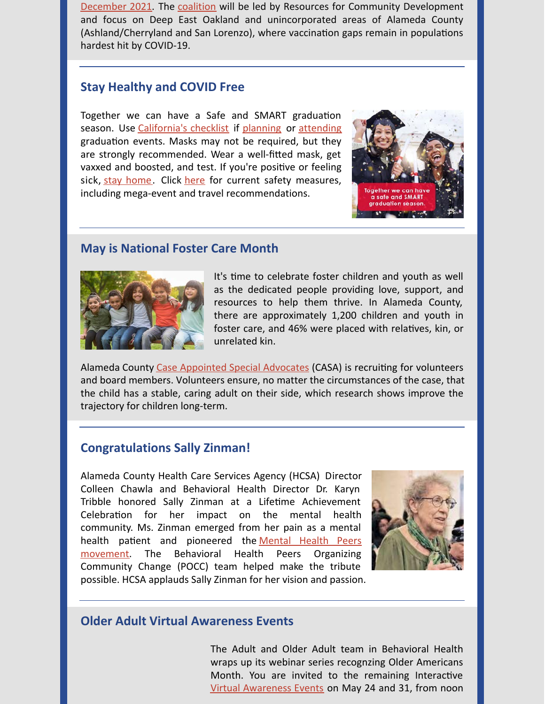[December 2021](https://covid-19.acgov.org/covid19-assets/docs/press/press-release-2021.12.21.pdf). The [coalition](https://covid-19.acgov.org/covid19-assets/docs/press/Alameda County Community Coalition Support_Press Release_2022.05.17.pdf) will be led by Resources for Community Development and focus on Deep East Oakland and unincorporated areas of Alameda County (Ashland/Cherryland and San Lorenzo), where vaccination gaps remain in populations hardest hit by COVID-19.

#### **Stay Healthy and COVID Free**

Together we can have a Safe and SMART graduation season. Use [California's checklist](https://www.cdph.ca.gov/Programs/OPA/Pages/Communications-Toolkits/Safe-Schools.aspx#msdynttrid=475VMGQc63jTYPhfJP1R6SsJQYPpkEV4JPHt6IVB7sk) if [planning](https://www.cdph.ca.gov/Programs/OPA/CDPH Document Library/Toolkits/safe-school/Planning-School-Events-Checklist.pdf) or [attending](https://www.cdph.ca.gov/Programs/OPA/CDPH Document Library/Toolkits/safe-school/Attending-School-Events-Checklist.pdf) graduation events. Masks may not be required, but they are strongly recommended. Wear a well-fitted mask, get vaxxed and boosted, and test. If you're positive or feeling sick, [stay home](https://covid-19.acgov.org/isolation-quarantine). Click [here](https://covid19.ca.gov/safely-reopening/#what-to-do-now) for current safety measures, including mega-event and travel recommendations.



#### **May is National Foster Care Month**



It's time to celebrate foster children and youth as well as the dedicated people providing love, support, and resources to help them thrive. In Alameda County, there are approximately 1,200 children and youth in foster care, and 46% were placed with relatives, kin, or unrelated kin.

Alameda County [Case Appointed Special Advocates](https://casaofalamedacounty.org/) (CASA) is recruiting for volunteers and board members. Volunteers ensure, no matter the circumstances of the case, that the child has a stable, caring adult on their side, which research shows improve the trajectory for children long-term.

#### **Congratulations Sally Zinman!**

Alameda County Health Care Services Agency (HCSA) Director Colleen Chawla and Behavioral Health Director Dr. Karyn Tribble honored Sally Zinman at a Lifetime Achievement Celebration for her impact on the mental health community. Ms. Zinman emerged from her pain as a mental health patient and pioneered the Mental Health Peers movement. The Behavioral Health Peers Organizing Community Change (POCC) team helped make the tribute possible. HCSA applauds Sally Zinman for her vision and passion.



### **Older Adult Virtual Awareness Events**

The Adult and Older Adult team in Behavioral Health wraps up its webinar series recognzing Older Americans Month. You are invited to the remaining Interactive [Virtual Awareness Events](https://r20.rs6.net/tn.jsp?f=001lN9aDWvneZDLUEBbsF-a7SnQseIc5cphC_sh7n01X7CeghKdJ9SAfqdte7-j3wYNhAeKTJnvN-Vyav4JMJFC7RUER7pBtgqkTQKBld3WCfo19nSbDB2IPyZeb6BvP5ClEQlaKZiV2_VuTfGFeY0_tOIfPfCxN3-UNWjKM6Xj0gSXADC0fytdjLK9-5lkoe4d3fHG91lsNzKcAwD-5Fb2QlmMZ0fvfTCg92i_EuZyHbtIGO-EkuPtmd-JN8tn5B1NDfjIzUq3wCoZppsh58nneQ==&c=57zj1rshWgOtljUlrhrJPZFTn0a1MkHIKo-4DNVNAnHyBEysrzE0hA==&ch=qCzgarLKNIqK99N3RzGaHapP6fOXf789Zt5Ge6yWqo-FpoFZKHRu_Q==) on May 24 and 31, from noon